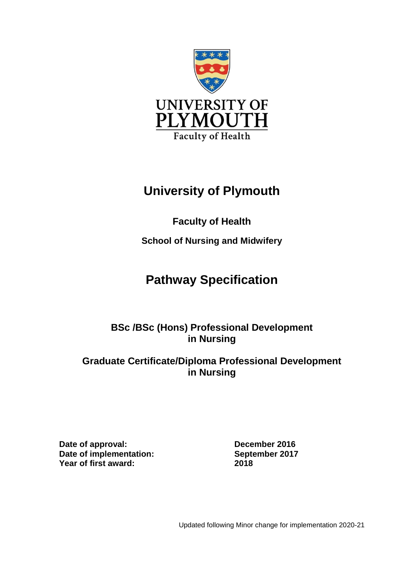

# **University of Plymouth**

# **Faculty of Health**

**School of Nursing and Midwifery**

# **Pathway Specification**

# **BSc /BSc (Hons) Professional Development in Nursing**

## **Graduate Certificate/Diploma Professional Development in Nursing**

**Date of approval: December 2016 Date of implementation: September 2017 Year of first award: 2018**

Updated following Minor change for implementation 2020-21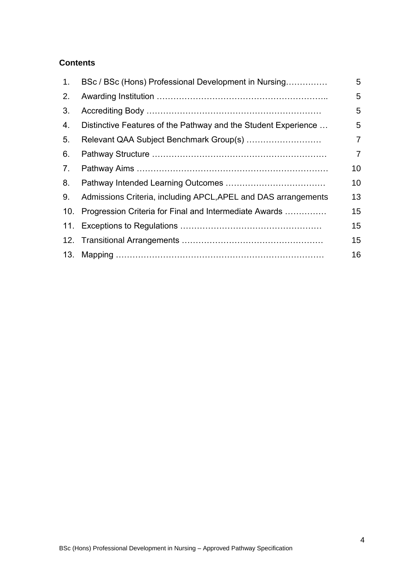## **Contents**

| 1.                               | BSc / BSc (Hons) Professional Development in Nursing           | 5              |
|----------------------------------|----------------------------------------------------------------|----------------|
| 2.                               |                                                                | 5              |
| 3.                               |                                                                | 5              |
| 4.                               | Distinctive Features of the Pathway and the Student Experience | 5              |
| 5.                               | Relevant QAA Subject Benchmark Group(s)                        | $\overline{7}$ |
| 6.                               |                                                                | $\overline{7}$ |
| $7_{\scriptscriptstyle{\ddots}}$ |                                                                | 10             |
| 8.                               |                                                                | 10             |
| 9.                               | Admissions Criteria, including APCL, APEL and DAS arrangements | 13             |
|                                  | 10. Progression Criteria for Final and Intermediate Awards     | 15             |
|                                  |                                                                | 15             |
|                                  |                                                                | 15             |
|                                  |                                                                | 16             |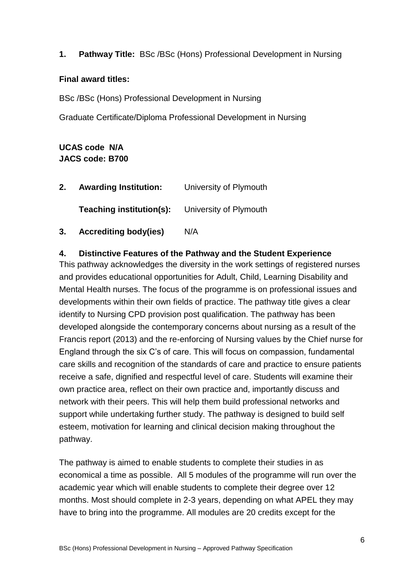#### **1. Pathway Title:** BSc /BSc (Hons) Professional Development in Nursing

#### **Final award titles:**

BSc /BSc (Hons) Professional Development in Nursing

Graduate Certificate/Diploma Professional Development in Nursing

#### **UCAS code N/A JACS code: B700**

| 2. | <b>Awarding Institution:</b> | University of Plymouth |
|----|------------------------------|------------------------|
|    | Teaching institution(s):     | University of Plymouth |
| 3. | <b>Accrediting body(ies)</b> | N/A                    |

#### **4. Distinctive Features of the Pathway and the Student Experience**

This pathway acknowledges the diversity in the work settings of registered nurses and provides educational opportunities for Adult, Child, Learning Disability and Mental Health nurses. The focus of the programme is on professional issues and developments within their own fields of practice. The pathway title gives a clear identify to Nursing CPD provision post qualification. The pathway has been developed alongside the contemporary concerns about nursing as a result of the Francis report (2013) and the re-enforcing of Nursing values by the Chief nurse for England through the six C's of care. This will focus on compassion, fundamental care skills and recognition of the standards of care and practice to ensure patients receive a safe, dignified and respectful level of care. Students will examine their own practice area, reflect on their own practice and, importantly discuss and network with their peers. This will help them build professional networks and support while undertaking further study. The pathway is designed to build self esteem, motivation for learning and clinical decision making throughout the pathway.

The pathway is aimed to enable students to complete their studies in as economical a time as possible. All 5 modules of the programme will run over the academic year which will enable students to complete their degree over 12 months. Most should complete in 2-3 years, depending on what APEL they may have to bring into the programme. All modules are 20 credits except for the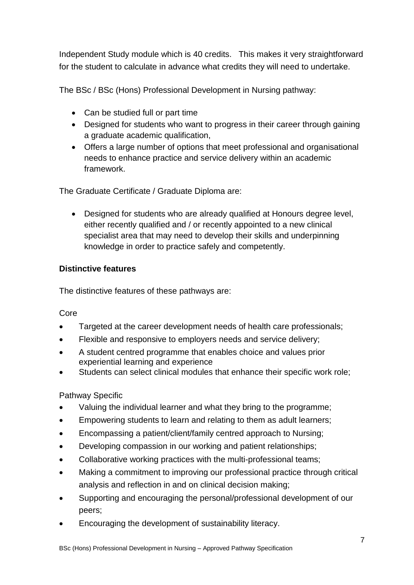Independent Study module which is 40 credits. This makes it very straightforward for the student to calculate in advance what credits they will need to undertake.

The BSc / BSc (Hons) Professional Development in Nursing pathway:

- Can be studied full or part time
- Designed for students who want to progress in their career through gaining a graduate academic qualification,
- Offers a large number of options that meet professional and organisational needs to enhance practice and service delivery within an academic framework.

The Graduate Certificate / Graduate Diploma are:

 Designed for students who are already qualified at Honours degree level, either recently qualified and / or recently appointed to a new clinical specialist area that may need to develop their skills and underpinning knowledge in order to practice safely and competently.

## **Distinctive features**

The distinctive features of these pathways are:

#### Core

- Targeted at the career development needs of health care professionals;
- Flexible and responsive to employers needs and service delivery;
- A student centred programme that enables choice and values prior experiential learning and experience
- Students can select clinical modules that enhance their specific work role;

## Pathway Specific

- Valuing the individual learner and what they bring to the programme;
- Empowering students to learn and relating to them as adult learners;
- Encompassing a patient/client/family centred approach to Nursing;
- Developing compassion in our working and patient relationships;
- Collaborative working practices with the multi-professional teams;
- Making a commitment to improving our professional practice through critical analysis and reflection in and on clinical decision making;
- Supporting and encouraging the personal/professional development of our peers;
- Encouraging the development of sustainability literacy.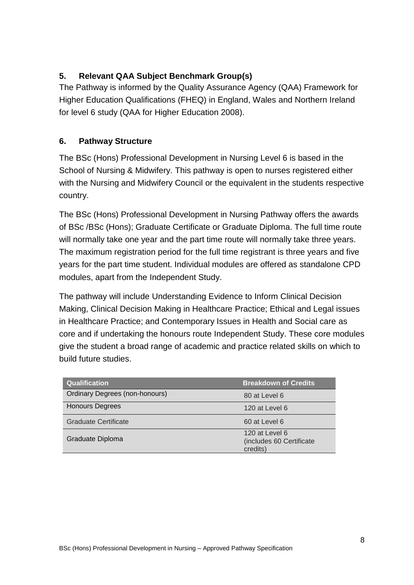## **5. Relevant QAA Subject Benchmark Group(s)**

The Pathway is informed by the Quality Assurance Agency (QAA) Framework for Higher Education Qualifications (FHEQ) in England, Wales and Northern Ireland for level 6 study (QAA for Higher Education 2008).

## **6. Pathway Structure**

The BSc (Hons) Professional Development in Nursing Level 6 is based in the School of Nursing & Midwifery. This pathway is open to nurses registered either with the Nursing and Midwifery Council or the equivalent in the students respective country.

The BSc (Hons) Professional Development in Nursing Pathway offers the awards of BSc /BSc (Hons); Graduate Certificate or Graduate Diploma. The full time route will normally take one year and the part time route will normally take three years. The maximum registration period for the full time registrant is three years and five years for the part time student. Individual modules are offered as standalone CPD modules, apart from the Independent Study.

The pathway will include Understanding Evidence to Inform Clinical Decision Making, Clinical Decision Making in Healthcare Practice; Ethical and Legal issues in Healthcare Practice; and Contemporary Issues in Health and Social care as core and if undertaking the honours route Independent Study. These core modules give the student a broad range of academic and practice related skills on which to build future studies.

| <b>Qualification</b>                  | <b>Breakdown of Credits</b>                            |
|---------------------------------------|--------------------------------------------------------|
| <b>Ordinary Degrees (non-honours)</b> | 80 at Level 6                                          |
| <b>Honours Degrees</b>                | 120 at Level 6                                         |
| <b>Graduate Certificate</b>           | 60 at Level 6                                          |
| Graduate Diploma                      | 120 at Level 6<br>(includes 60 Certificate<br>credits) |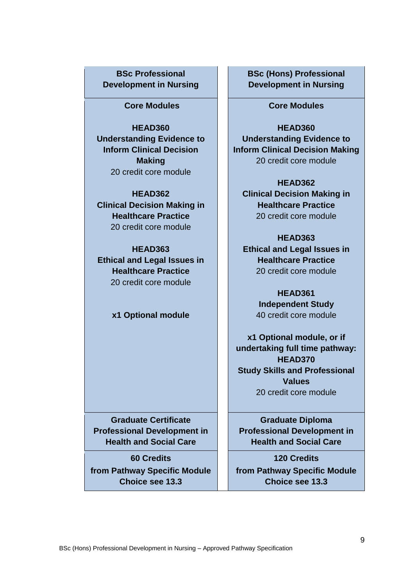## **BSc Professional Development in Nursing**

#### **Core Modules**

**HEAD360 Understanding Evidence to Inform Clinical Decision Making** 20 credit core module

**HEAD362 Clinical Decision Making in Healthcare Practice** 20 credit core module

**HEAD363 Ethical and Legal Issues in Healthcare Practice** 20 credit core module

#### **x1 Optional module**

**Graduate Certificate Professional Development in Health and Social Care**

**60 Credits from Pathway Specific Module Choice see 13.3** 

#### **BSc (Hons) Professional Development in Nursing**

#### **Core Modules**

**HEAD360 Understanding Evidence to Inform Clinical Decision Making** 20 credit core module

**HEAD362 Clinical Decision Making in Healthcare Practice** 20 credit core module

#### **HEAD363**

**Ethical and Legal Issues in Healthcare Practice** 20 credit core module

> **HEAD361 Independent Study**  40 credit core module

**x1 Optional module, or if undertaking full time pathway: HEAD370 Study Skills and Professional Values** 20 credit core module

**Graduate Diploma Professional Development in Health and Social Care**

**120 Credits from Pathway Specific Module Choice see 13.3**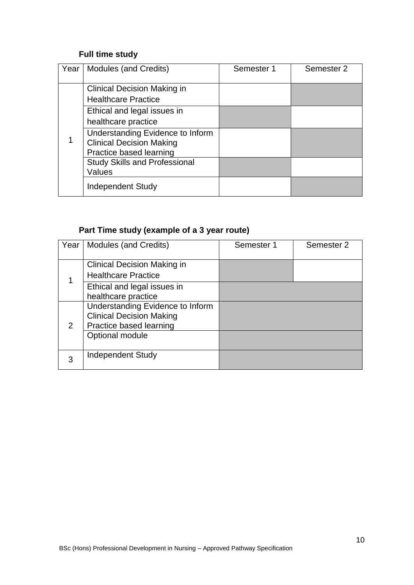## **Full time study**

| Year | Modules (and Credits)                | Semester 1 | Semester 2 |
|------|--------------------------------------|------------|------------|
|      |                                      |            |            |
|      | <b>Clinical Decision Making in</b>   |            |            |
|      | <b>Healthcare Practice</b>           |            |            |
|      | Ethical and legal issues in          |            |            |
|      | healthcare practice                  |            |            |
|      | Understanding Evidence to Inform     |            |            |
|      | <b>Clinical Decision Making</b>      |            |            |
|      | Practice based learning              |            |            |
|      | <b>Study Skills and Professional</b> |            |            |
|      | Values                               |            |            |
|      | <b>Independent Study</b>             |            |            |

# **Part Time study (example of a 3 year route)**

| Year          | Modules (and Credits)              | Semester 1 | Semester 2 |
|---------------|------------------------------------|------------|------------|
|               |                                    |            |            |
|               | <b>Clinical Decision Making in</b> |            |            |
|               | <b>Healthcare Practice</b>         |            |            |
|               | Ethical and legal issues in        |            |            |
|               | healthcare practice                |            |            |
|               | Understanding Evidence to Inform   |            |            |
|               | <b>Clinical Decision Making</b>    |            |            |
| $\mathcal{P}$ | Practice based learning            |            |            |
|               | Optional module                    |            |            |
|               |                                    |            |            |
| 3             | <b>Independent Study</b>           |            |            |
|               |                                    |            |            |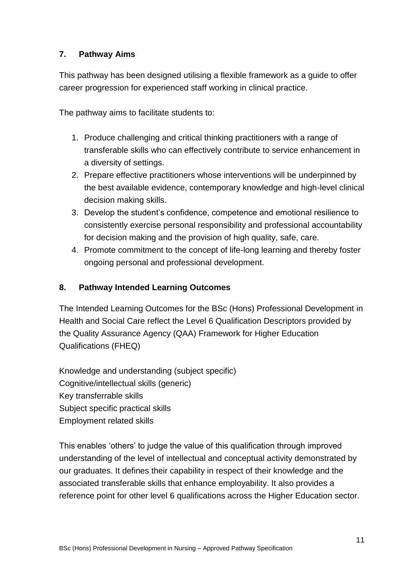## **7. Pathway Aims**

This pathway has been designed utilising a flexible framework as a guide to offer career progression for experienced staff working in clinical practice.

The pathway aims to facilitate students to:

- 1. Produce challenging and critical thinking practitioners with a range of transferable skills who can effectively contribute to service enhancement in a diversity of settings.
- 2. Prepare effective practitioners whose interventions will be underpinned by the best available evidence, contemporary knowledge and high-level clinical decision making skills.
- 3. Develop the student's confidence, competence and emotional resilience to consistently exercise personal responsibility and professional accountability for decision making and the provision of high quality, safe, care.
- 4. Promote commitment to the concept of life-long learning and thereby foster ongoing personal and professional development.

#### **8. Pathway Intended Learning Outcomes**

The Intended Learning Outcomes for the BSc (Hons) Professional Development in Health and Social Care reflect the Level 6 Qualification Descriptors provided by the Quality Assurance Agency (QAA) Framework for Higher Education Qualifications (FHEQ)

Knowledge and understanding (subject specific) Cognitive/intellectual skills (generic) Key transferrable skills Subject specific practical skills Employment related skills

This enables 'others' to judge the value of this qualification through improved understanding of the level of intellectual and conceptual activity demonstrated by our graduates. It defines their capability in respect of their knowledge and the associated transferable skills that enhance employability. It also provides a reference point for other level 6 qualifications across the Higher Education sector.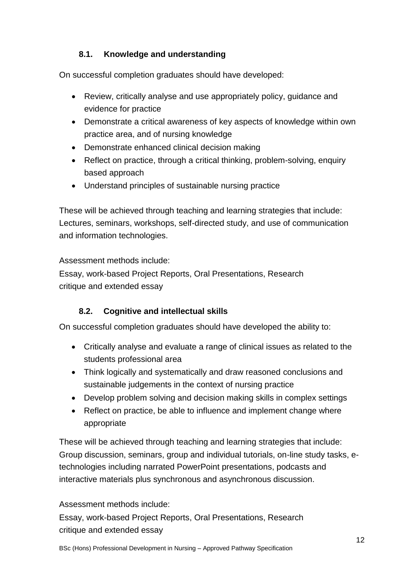## **8.1. Knowledge and understanding**

On successful completion graduates should have developed:

- Review, critically analyse and use appropriately policy, guidance and evidence for practice
- Demonstrate a critical awareness of key aspects of knowledge within own practice area, and of nursing knowledge
- Demonstrate enhanced clinical decision making
- Reflect on practice, through a critical thinking, problem-solving, enquiry based approach
- Understand principles of sustainable nursing practice

These will be achieved through teaching and learning strategies that include: Lectures, seminars, workshops, self-directed study, and use of communication and information technologies.

Assessment methods include:

Essay, work-based Project Reports, Oral Presentations, Research critique and extended essay

## **8.2. Cognitive and intellectual skills**

On successful completion graduates should have developed the ability to:

- Critically analyse and evaluate a range of clinical issues as related to the students professional area
- Think logically and systematically and draw reasoned conclusions and sustainable judgements in the context of nursing practice
- Develop problem solving and decision making skills in complex settings
- Reflect on practice, be able to influence and implement change where appropriate

These will be achieved through teaching and learning strategies that include: Group discussion, seminars, group and individual tutorials, on-line study tasks, etechnologies including narrated PowerPoint presentations, podcasts and interactive materials plus synchronous and asynchronous discussion.

## Assessment methods include:

Essay, work-based Project Reports, Oral Presentations, Research critique and extended essay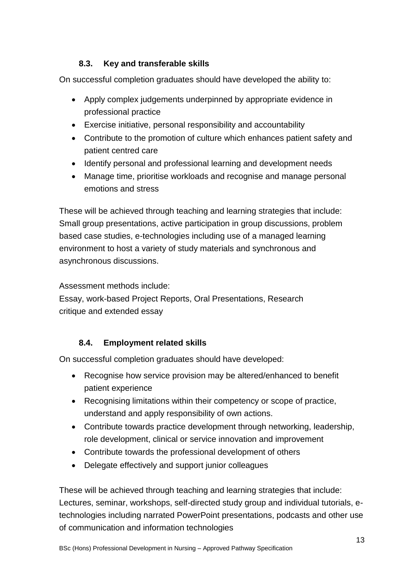## **8.3. Key and transferable skills**

On successful completion graduates should have developed the ability to:

- Apply complex judgements underpinned by appropriate evidence in professional practice
- Exercise initiative, personal responsibility and accountability
- Contribute to the promotion of culture which enhances patient safety and patient centred care
- Identify personal and professional learning and development needs
- Manage time, prioritise workloads and recognise and manage personal emotions and stress

These will be achieved through teaching and learning strategies that include: Small group presentations, active participation in group discussions, problem based case studies, e-technologies including use of a managed learning environment to host a variety of study materials and synchronous and asynchronous discussions.

Assessment methods include:

Essay, work-based Project Reports, Oral Presentations, Research critique and extended essay

## **8.4. Employment related skills**

On successful completion graduates should have developed:

- Recognise how service provision may be altered/enhanced to benefit patient experience
- Recognising limitations within their competency or scope of practice, understand and apply responsibility of own actions.
- Contribute towards practice development through networking, leadership, role development, clinical or service innovation and improvement
- Contribute towards the professional development of others
- Delegate effectively and support junior colleagues

These will be achieved through teaching and learning strategies that include: Lectures, seminar, workshops, self-directed study group and individual tutorials, etechnologies including narrated PowerPoint presentations, podcasts and other use of communication and information technologies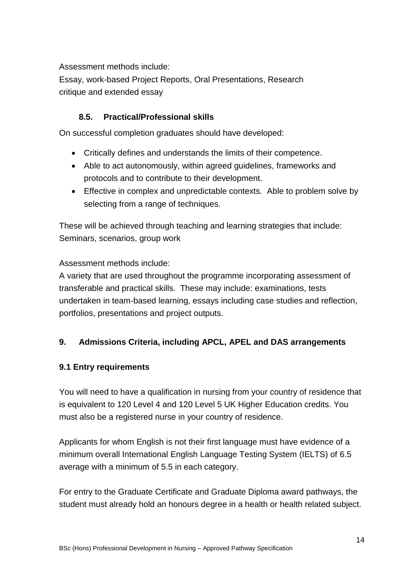Assessment methods include:

Essay, work-based Project Reports, Oral Presentations, Research critique and extended essay

## **8.5. Practical/Professional skills**

On successful completion graduates should have developed:

- Critically defines and understands the limits of their competence.
- Able to act autonomously, within agreed guidelines, frameworks and protocols and to contribute to their development.
- Effective in complex and unpredictable contexts. Able to problem solve by selecting from a range of techniques.

These will be achieved through teaching and learning strategies that include: Seminars, scenarios, group work

Assessment methods include:

A variety that are used throughout the programme incorporating assessment of transferable and practical skills. These may include: examinations, tests undertaken in team-based learning, essays including case studies and reflection, portfolios, presentations and project outputs.

#### **9. Admissions Criteria, including APCL, APEL and DAS arrangements**

#### **9.1 Entry requirements**

You will need to have a qualification in nursing from your country of residence that is equivalent to 120 Level 4 and 120 Level 5 UK Higher Education credits. You must also be a registered nurse in your country of residence.

Applicants for whom English is not their first language must have evidence of a minimum overall International English Language Testing System (IELTS) of 6.5 average with a minimum of 5.5 in each category.

For entry to the Graduate Certificate and Graduate Diploma award pathways, the student must already hold an honours degree in a health or health related subject.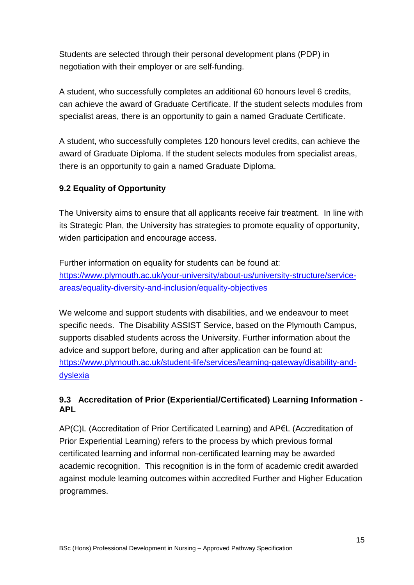Students are selected through their personal development plans (PDP) in negotiation with their employer or are self-funding.

A student, who successfully completes an additional 60 honours level 6 credits, can achieve the award of Graduate Certificate. If the student selects modules from specialist areas, there is an opportunity to gain a named Graduate Certificate.

A student, who successfully completes 120 honours level credits, can achieve the award of Graduate Diploma. If the student selects modules from specialist areas, there is an opportunity to gain a named Graduate Diploma.

## **9.2 Equality of Opportunity**

The University aims to ensure that all applicants receive fair treatment. In line with its Strategic Plan, the University has strategies to promote equality of opportunity, widen participation and encourage access.

Further information on equality for students can be found at: [https://www.plymouth.ac.uk/your-university/about-us/university-structure/service](https://www.plymouth.ac.uk/your-university/about-us/university-structure/service-areas/equality-diversity-and-inclusion/equality-objectives)[areas/equality-diversity-and-inclusion/equality-objectives](https://www.plymouth.ac.uk/your-university/about-us/university-structure/service-areas/equality-diversity-and-inclusion/equality-objectives)

We welcome and support students with disabilities, and we endeavour to meet specific needs. The Disability ASSIST Service, based on the Plymouth Campus, supports disabled students across the University. Further information about the advice and support before, during and after application can be found at: [https://www.plymouth.ac.uk/student-life/services/learning-gateway/disability-and](https://www.plymouth.ac.uk/student-life/services/learning-gateway/disability-and-dyslexia)[dyslexia](https://www.plymouth.ac.uk/student-life/services/learning-gateway/disability-and-dyslexia)

## **9.3 Accreditation of Prior (Experiential/Certificated) Learning Information - APL**

AP(C)L (Accreditation of Prior Certificated Learning) and AP€L (Accreditation of Prior Experiential Learning) refers to the process by which previous formal certificated learning and informal non-certificated learning may be awarded academic recognition. This recognition is in the form of academic credit awarded against module learning outcomes within accredited Further and Higher Education programmes.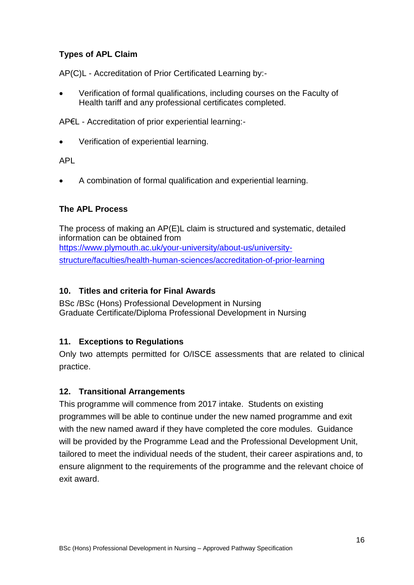## **Types of APL Claim**

AP(C)L - Accreditation of Prior Certificated Learning by:-

 Verification of formal qualifications, including courses on the Faculty of Health tariff and any professional certificates completed.

AP€L - Accreditation of prior experiential learning:-

Verification of experiential learning.

APL

A combination of formal qualification and experiential learning.

#### **The APL Process**

The process of making an AP(E)L claim is structured and systematic, detailed information can be obtained from [https://www.plymouth.ac.uk/your-university/about-us/university](https://www.plymouth.ac.uk/your-university/about-us/university-structure/faculties/health-human-sciences/accreditation-of-prior-learning)[structure/faculties/health-human-sciences/accreditation-of-prior-learning](https://www.plymouth.ac.uk/your-university/about-us/university-structure/faculties/health-human-sciences/accreditation-of-prior-learning)

#### **10. Titles and criteria for Final Awards**

BSc /BSc (Hons) Professional Development in Nursing Graduate Certificate/Diploma Professional Development in Nursing

#### **11. Exceptions to Regulations**

Only two attempts permitted for O/ISCE assessments that are related to clinical practice.

#### **12. Transitional Arrangements**

This programme will commence from 2017 intake. Students on existing programmes will be able to continue under the new named programme and exit with the new named award if they have completed the core modules. Guidance will be provided by the Programme Lead and the Professional Development Unit, tailored to meet the individual needs of the student, their career aspirations and, to ensure alignment to the requirements of the programme and the relevant choice of exit award.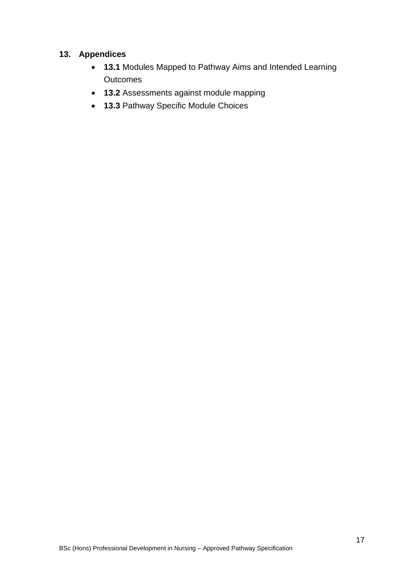#### **13. Appendices**

- **13.1** Modules Mapped to Pathway Aims and Intended Learning **Outcomes**
- **13.2** Assessments against module mapping
- **13.3** Pathway Specific Module Choices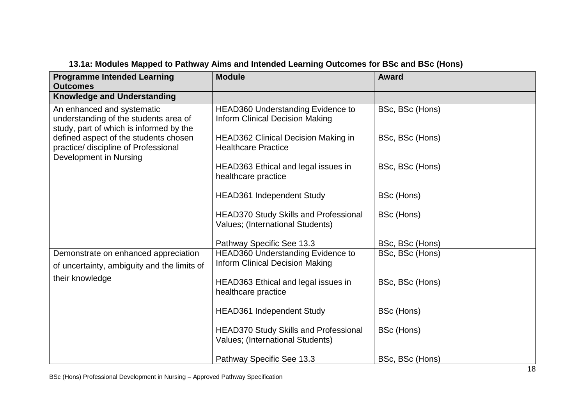| <b>Programme Intended Learning</b><br><b>Outcomes</b>                                                          | <b>Module</b>                                                                      | <b>Award</b>    |
|----------------------------------------------------------------------------------------------------------------|------------------------------------------------------------------------------------|-----------------|
| <b>Knowledge and Understanding</b>                                                                             |                                                                                    |                 |
| An enhanced and systematic<br>understanding of the students area of<br>study, part of which is informed by the | <b>HEAD360 Understanding Evidence to</b><br><b>Inform Clinical Decision Making</b> | BSc, BSc (Hons) |
| defined aspect of the students chosen<br>practice/ discipline of Professional<br>Development in Nursing        | <b>HEAD362 Clinical Decision Making in</b><br><b>Healthcare Practice</b>           | BSc, BSc (Hons) |
|                                                                                                                | HEAD363 Ethical and legal issues in<br>healthcare practice                         | BSc, BSc (Hons) |
|                                                                                                                | <b>HEAD361 Independent Study</b>                                                   | BSc (Hons)      |
|                                                                                                                | <b>HEAD370 Study Skills and Professional</b><br>Values; (International Students)   | BSc (Hons)      |
|                                                                                                                | Pathway Specific See 13.3                                                          | BSc, BSc (Hons) |
| Demonstrate on enhanced appreciation<br>of uncertainty, ambiguity and the limits of                            | HEAD360 Understanding Evidence to<br><b>Inform Clinical Decision Making</b>        | BSc, BSc (Hons) |
| their knowledge                                                                                                | HEAD363 Ethical and legal issues in<br>healthcare practice                         | BSc, BSc (Hons) |
|                                                                                                                | <b>HEAD361 Independent Study</b>                                                   | BSc (Hons)      |
|                                                                                                                | <b>HEAD370 Study Skills and Professional</b><br>Values; (International Students)   | BSc (Hons)      |
|                                                                                                                | Pathway Specific See 13.3                                                          | BSc, BSc (Hons) |

## **13.1a: Modules Mapped to Pathway Aims and Intended Learning Outcomes for BSc and BSc (Hons)**

BSc (Hons) Professional Development in Nursing – Approved Pathway Specification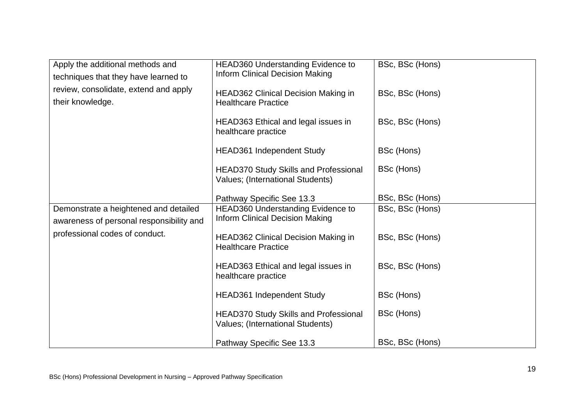| Apply the additional methods and<br>techniques that they have learned to          | <b>HEAD360 Understanding Evidence to</b><br><b>Inform Clinical Decision Making</b> | BSc, BSc (Hons) |
|-----------------------------------------------------------------------------------|------------------------------------------------------------------------------------|-----------------|
| review, consolidate, extend and apply<br>their knowledge.                         | <b>HEAD362 Clinical Decision Making in</b><br><b>Healthcare Practice</b>           | BSc, BSc (Hons) |
|                                                                                   | HEAD363 Ethical and legal issues in<br>healthcare practice                         | BSc, BSc (Hons) |
|                                                                                   | <b>HEAD361 Independent Study</b>                                                   | BSc (Hons)      |
|                                                                                   | <b>HEAD370 Study Skills and Professional</b><br>Values; (International Students)   | BSc (Hons)      |
|                                                                                   | Pathway Specific See 13.3                                                          | BSc, BSc (Hons) |
| Demonstrate a heightened and detailed<br>awareness of personal responsibility and | HEAD360 Understanding Evidence to<br><b>Inform Clinical Decision Making</b>        | BSc, BSc (Hons) |
| professional codes of conduct.                                                    | <b>HEAD362 Clinical Decision Making in</b><br><b>Healthcare Practice</b>           | BSc, BSc (Hons) |
|                                                                                   | HEAD363 Ethical and legal issues in<br>healthcare practice                         | BSc, BSc (Hons) |
|                                                                                   | HEAD361 Independent Study                                                          | BSc (Hons)      |
|                                                                                   | <b>HEAD370 Study Skills and Professional</b><br>Values; (International Students)   | BSc (Hons)      |
|                                                                                   | Pathway Specific See 13.3                                                          | BSc, BSc (Hons) |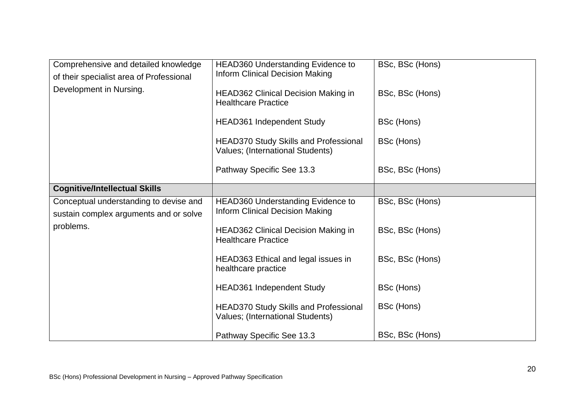| Comprehensive and detailed knowledge<br>of their specialist area of Professional | <b>HEAD360 Understanding Evidence to</b><br><b>Inform Clinical Decision Making</b> | BSc, BSc (Hons) |
|----------------------------------------------------------------------------------|------------------------------------------------------------------------------------|-----------------|
| Development in Nursing.                                                          | <b>HEAD362 Clinical Decision Making in</b><br><b>Healthcare Practice</b>           | BSc, BSc (Hons) |
|                                                                                  | <b>HEAD361 Independent Study</b>                                                   | BSc (Hons)      |
|                                                                                  | <b>HEAD370 Study Skills and Professional</b><br>Values; (International Students)   | BSc (Hons)      |
|                                                                                  | Pathway Specific See 13.3                                                          | BSc, BSc (Hons) |
| <b>Cognitive/Intellectual Skills</b>                                             |                                                                                    |                 |
| Conceptual understanding to devise and<br>sustain complex arguments and or solve | <b>HEAD360 Understanding Evidence to</b><br><b>Inform Clinical Decision Making</b> | BSc, BSc (Hons) |
| problems.                                                                        | <b>HEAD362 Clinical Decision Making in</b><br><b>Healthcare Practice</b>           | BSc, BSc (Hons) |
|                                                                                  | HEAD363 Ethical and legal issues in<br>healthcare practice                         | BSc, BSc (Hons) |
|                                                                                  | <b>HEAD361 Independent Study</b>                                                   | BSc (Hons)      |
|                                                                                  | <b>HEAD370 Study Skills and Professional</b><br>Values; (International Students)   | BSc (Hons)      |
|                                                                                  | Pathway Specific See 13.3                                                          | BSc, BSc (Hons) |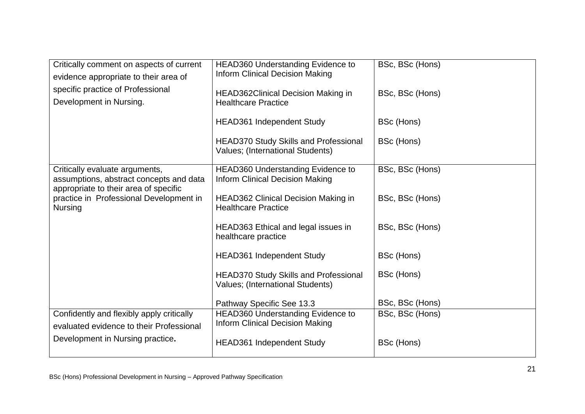| Critically comment on aspects of current<br>evidence appropriate to their area of<br>specific practice of Professional<br>Development in Nursing. | <b>HEAD360 Understanding Evidence to</b><br><b>Inform Clinical Decision Making</b><br><b>HEAD362Clinical Decision Making in</b><br><b>Healthcare Practice</b> | BSc, BSc (Hons)<br>BSc, BSc (Hons) |
|---------------------------------------------------------------------------------------------------------------------------------------------------|---------------------------------------------------------------------------------------------------------------------------------------------------------------|------------------------------------|
|                                                                                                                                                   | <b>HEAD361 Independent Study</b>                                                                                                                              | BSc (Hons)                         |
|                                                                                                                                                   | <b>HEAD370 Study Skills and Professional</b><br>Values; (International Students)                                                                              | BSc (Hons)                         |
| Critically evaluate arguments,<br>assumptions, abstract concepts and data<br>appropriate to their area of specific                                | HEAD360 Understanding Evidence to<br><b>Inform Clinical Decision Making</b>                                                                                   | BSc, BSc (Hons)                    |
| practice in Professional Development in<br><b>Nursing</b>                                                                                         | <b>HEAD362 Clinical Decision Making in</b><br><b>Healthcare Practice</b>                                                                                      | BSc, BSc (Hons)                    |
|                                                                                                                                                   | HEAD363 Ethical and legal issues in<br>healthcare practice                                                                                                    | BSc, BSc (Hons)                    |
|                                                                                                                                                   | <b>HEAD361 Independent Study</b>                                                                                                                              | BSc (Hons)                         |
|                                                                                                                                                   | <b>HEAD370 Study Skills and Professional</b><br>Values; (International Students)                                                                              | BSc (Hons)                         |
|                                                                                                                                                   | Pathway Specific See 13.3                                                                                                                                     | BSc, BSc (Hons)                    |
| Confidently and flexibly apply critically<br>evaluated evidence to their Professional                                                             | <b>HEAD360 Understanding Evidence to</b><br><b>Inform Clinical Decision Making</b>                                                                            | BSc, BSc (Hons)                    |
| Development in Nursing practice.                                                                                                                  | <b>HEAD361 Independent Study</b>                                                                                                                              | BSc (Hons)                         |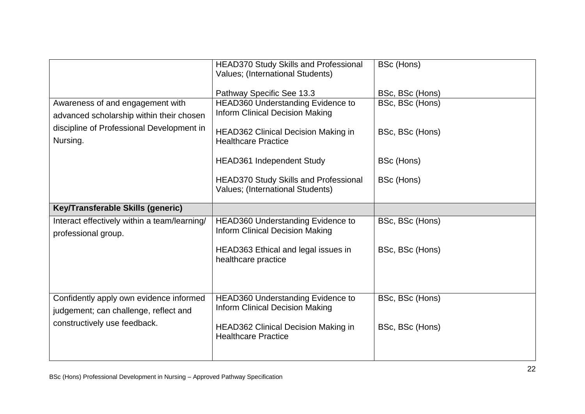|                                              | <b>HEAD370 Study Skills and Professional</b><br>Values; (International Students) | BSc (Hons)      |
|----------------------------------------------|----------------------------------------------------------------------------------|-----------------|
|                                              | Pathway Specific See 13.3                                                        | BSc, BSc (Hons) |
| Awareness of and engagement with             | HEAD360 Understanding Evidence to                                                | BSc, BSc (Hons) |
| advanced scholarship within their chosen     | <b>Inform Clinical Decision Making</b>                                           |                 |
| discipline of Professional Development in    |                                                                                  |                 |
| Nursing.                                     | <b>HEAD362 Clinical Decision Making in</b><br><b>Healthcare Practice</b>         | BSc, BSc (Hons) |
|                                              | <b>HEAD361 Independent Study</b>                                                 | BSc (Hons)      |
|                                              | <b>HEAD370 Study Skills and Professional</b><br>Values; (International Students) | BSc (Hons)      |
| Key/Transferable Skills (generic)            |                                                                                  |                 |
| Interact effectively within a team/learning/ | HEAD360 Understanding Evidence to                                                | BSc, BSc (Hons) |
| professional group.                          | <b>Inform Clinical Decision Making</b>                                           |                 |
|                                              | HEAD363 Ethical and legal issues in<br>healthcare practice                       | BSc, BSc (Hons) |
| Confidently apply own evidence informed      | HEAD360 Understanding Evidence to                                                | BSc, BSc (Hons) |
| judgement; can challenge, reflect and        | <b>Inform Clinical Decision Making</b>                                           |                 |
| constructively use feedback.                 | <b>HEAD362 Clinical Decision Making in</b><br><b>Healthcare Practice</b>         | BSc, BSc (Hons) |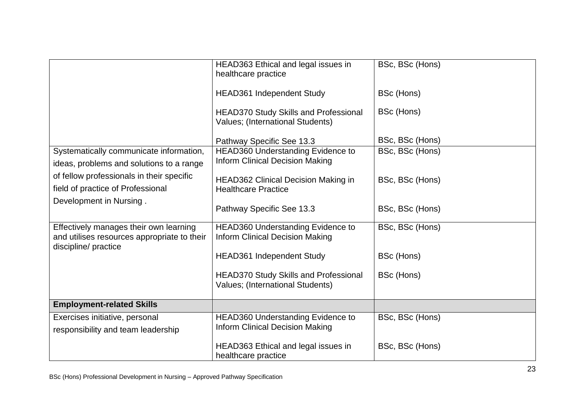|                                                                                                               | HEAD363 Ethical and legal issues in<br>healthcare practice                         | BSc, BSc (Hons) |
|---------------------------------------------------------------------------------------------------------------|------------------------------------------------------------------------------------|-----------------|
|                                                                                                               | <b>HEAD361 Independent Study</b>                                                   | BSc (Hons)      |
|                                                                                                               | <b>HEAD370 Study Skills and Professional</b><br>Values; (International Students)   | BSc (Hons)      |
|                                                                                                               | Pathway Specific See 13.3                                                          | BSc, BSc (Hons) |
| Systematically communicate information,<br>ideas, problems and solutions to a range                           | <b>HEAD360 Understanding Evidence to</b><br><b>Inform Clinical Decision Making</b> | BSc, BSc (Hons) |
| of fellow professionals in their specific<br>field of practice of Professional                                | <b>HEAD362 Clinical Decision Making in</b><br><b>Healthcare Practice</b>           | BSc, BSc (Hons) |
| Development in Nursing.                                                                                       | Pathway Specific See 13.3                                                          | BSc, BSc (Hons) |
| Effectively manages their own learning<br>and utilises resources appropriate to their<br>discipline/ practice | <b>HEAD360 Understanding Evidence to</b><br><b>Inform Clinical Decision Making</b> | BSc, BSc (Hons) |
|                                                                                                               | <b>HEAD361 Independent Study</b>                                                   | BSc (Hons)      |
|                                                                                                               | <b>HEAD370 Study Skills and Professional</b><br>Values; (International Students)   | BSc (Hons)      |
| <b>Employment-related Skills</b>                                                                              |                                                                                    |                 |
| Exercises initiative, personal<br>responsibility and team leadership                                          | <b>HEAD360 Understanding Evidence to</b><br><b>Inform Clinical Decision Making</b> | BSc, BSc (Hons) |
|                                                                                                               | HEAD363 Ethical and legal issues in<br>healthcare practice                         | BSc, BSc (Hons) |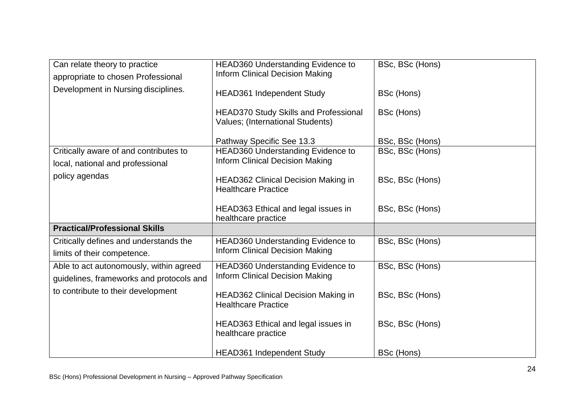| Can relate theory to practice            | <b>HEAD360 Understanding Evidence to</b>     | BSc, BSc (Hons) |
|------------------------------------------|----------------------------------------------|-----------------|
| appropriate to chosen Professional       | <b>Inform Clinical Decision Making</b>       |                 |
| Development in Nursing disciplines.      |                                              |                 |
|                                          | <b>HEAD361 Independent Study</b>             | BSc (Hons)      |
|                                          |                                              |                 |
|                                          | <b>HEAD370 Study Skills and Professional</b> | BSc (Hons)      |
|                                          | Values; (International Students)             |                 |
|                                          |                                              |                 |
|                                          | Pathway Specific See 13.3                    | BSc, BSc (Hons) |
| Critically aware of and contributes to   | HEAD360 Understanding Evidence to            | BSc, BSc (Hons) |
| local, national and professional         | <b>Inform Clinical Decision Making</b>       |                 |
| policy agendas                           |                                              |                 |
|                                          | <b>HEAD362 Clinical Decision Making in</b>   | BSc, BSc (Hons) |
|                                          | <b>Healthcare Practice</b>                   |                 |
|                                          |                                              |                 |
|                                          | HEAD363 Ethical and legal issues in          | BSc, BSc (Hons) |
|                                          | healthcare practice                          |                 |
| <b>Practical/Professional Skills</b>     |                                              |                 |
| Critically defines and understands the   | HEAD360 Understanding Evidence to            | BSc, BSc (Hons) |
| limits of their competence.              | <b>Inform Clinical Decision Making</b>       |                 |
| Able to act autonomously, within agreed  | HEAD360 Understanding Evidence to            | BSc, BSc (Hons) |
|                                          | <b>Inform Clinical Decision Making</b>       |                 |
| guidelines, frameworks and protocols and |                                              |                 |
| to contribute to their development       | <b>HEAD362 Clinical Decision Making in</b>   | BSc, BSc (Hons) |
|                                          | <b>Healthcare Practice</b>                   |                 |
|                                          |                                              |                 |
|                                          | HEAD363 Ethical and legal issues in          | BSc, BSc (Hons) |
|                                          | healthcare practice                          |                 |
|                                          |                                              |                 |
|                                          | <b>HEAD361 Independent Study</b>             | BSc (Hons)      |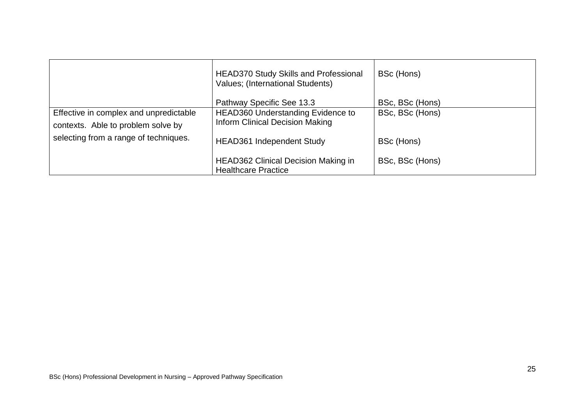|                                                                              | <b>HEAD370 Study Skills and Professional</b><br>Values; (International Students)   | BSc (Hons)      |
|------------------------------------------------------------------------------|------------------------------------------------------------------------------------|-----------------|
|                                                                              | Pathway Specific See 13.3                                                          | BSc, BSc (Hons) |
| Effective in complex and unpredictable<br>contexts. Able to problem solve by | <b>HEAD360 Understanding Evidence to</b><br><b>Inform Clinical Decision Making</b> | BSc, BSc (Hons) |
| selecting from a range of techniques.                                        | <b>HEAD361</b> Independent Study                                                   | BSc (Hons)      |
|                                                                              | <b>HEAD362 Clinical Decision Making in</b><br><b>Healthcare Practice</b>           | BSc, BSc (Hons) |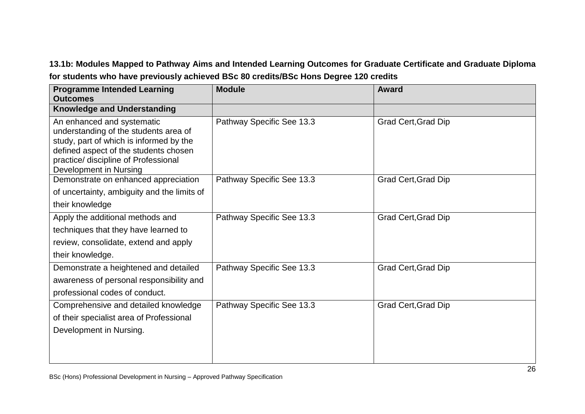## **13.1b: Modules Mapped to Pathway Aims and Intended Learning Outcomes for Graduate Certificate and Graduate Diploma for students who have previously achieved BSc 80 credits/BSc Hons Degree 120 credits**

| <b>Programme Intended Learning</b><br><b>Outcomes</b>                                                                                                                                                                     | <b>Module</b>             | <b>Award</b>               |
|---------------------------------------------------------------------------------------------------------------------------------------------------------------------------------------------------------------------------|---------------------------|----------------------------|
| <b>Knowledge and Understanding</b>                                                                                                                                                                                        |                           |                            |
| An enhanced and systematic<br>understanding of the students area of<br>study, part of which is informed by the<br>defined aspect of the students chosen<br>practice/ discipline of Professional<br>Development in Nursing | Pathway Specific See 13.3 | <b>Grad Cert, Grad Dip</b> |
| Demonstrate on enhanced appreciation                                                                                                                                                                                      | Pathway Specific See 13.3 | <b>Grad Cert, Grad Dip</b> |
| of uncertainty, ambiguity and the limits of                                                                                                                                                                               |                           |                            |
| their knowledge                                                                                                                                                                                                           |                           |                            |
| Apply the additional methods and                                                                                                                                                                                          | Pathway Specific See 13.3 | <b>Grad Cert, Grad Dip</b> |
| techniques that they have learned to                                                                                                                                                                                      |                           |                            |
| review, consolidate, extend and apply                                                                                                                                                                                     |                           |                            |
| their knowledge.                                                                                                                                                                                                          |                           |                            |
| Demonstrate a heightened and detailed<br>awareness of personal responsibility and<br>professional codes of conduct.                                                                                                       | Pathway Specific See 13.3 | <b>Grad Cert, Grad Dip</b> |
| Comprehensive and detailed knowledge<br>of their specialist area of Professional<br>Development in Nursing.                                                                                                               | Pathway Specific See 13.3 | <b>Grad Cert, Grad Dip</b> |
|                                                                                                                                                                                                                           |                           |                            |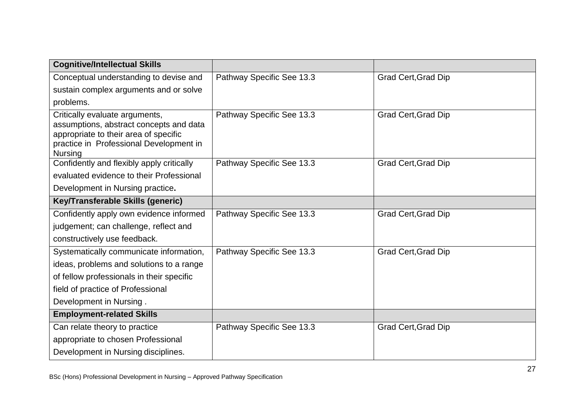| <b>Cognitive/Intellectual Skills</b>                                                                                                                                            |                           |                            |
|---------------------------------------------------------------------------------------------------------------------------------------------------------------------------------|---------------------------|----------------------------|
| Conceptual understanding to devise and                                                                                                                                          | Pathway Specific See 13.3 | Grad Cert, Grad Dip        |
| sustain complex arguments and or solve                                                                                                                                          |                           |                            |
| problems.                                                                                                                                                                       |                           |                            |
| Critically evaluate arguments,<br>assumptions, abstract concepts and data<br>appropriate to their area of specific<br>practice in Professional Development in<br><b>Nursing</b> | Pathway Specific See 13.3 | <b>Grad Cert, Grad Dip</b> |
| Confidently and flexibly apply critically                                                                                                                                       | Pathway Specific See 13.3 | <b>Grad Cert, Grad Dip</b> |
| evaluated evidence to their Professional                                                                                                                                        |                           |                            |
| Development in Nursing practice.                                                                                                                                                |                           |                            |
| Key/Transferable Skills (generic)                                                                                                                                               |                           |                            |
| Confidently apply own evidence informed                                                                                                                                         | Pathway Specific See 13.3 | <b>Grad Cert, Grad Dip</b> |
| judgement; can challenge, reflect and                                                                                                                                           |                           |                            |
| constructively use feedback.                                                                                                                                                    |                           |                            |
| Systematically communicate information,                                                                                                                                         | Pathway Specific See 13.3 | <b>Grad Cert, Grad Dip</b> |
| ideas, problems and solutions to a range                                                                                                                                        |                           |                            |
| of fellow professionals in their specific                                                                                                                                       |                           |                            |
| field of practice of Professional                                                                                                                                               |                           |                            |
| Development in Nursing.                                                                                                                                                         |                           |                            |
| <b>Employment-related Skills</b>                                                                                                                                                |                           |                            |
| Can relate theory to practice                                                                                                                                                   | Pathway Specific See 13.3 | <b>Grad Cert, Grad Dip</b> |
| appropriate to chosen Professional                                                                                                                                              |                           |                            |
| Development in Nursing disciplines.                                                                                                                                             |                           |                            |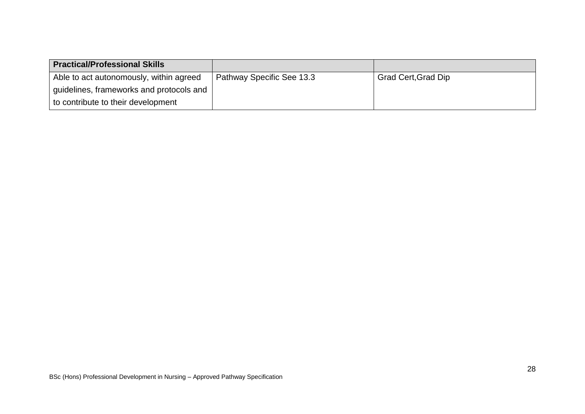| <b>Practical/Professional Skills</b>     |                           |                            |
|------------------------------------------|---------------------------|----------------------------|
| Able to act autonomously, within agreed  | Pathway Specific See 13.3 | <b>Grad Cert, Grad Dip</b> |
| guidelines, frameworks and protocols and |                           |                            |
| to contribute to their development       |                           |                            |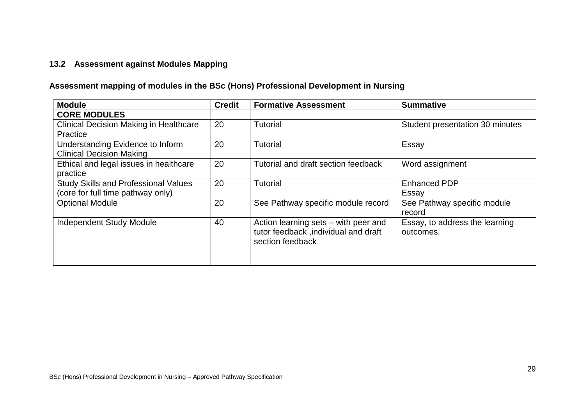#### **13.2 Assessment against Modules Mapping**

# **Assessment mapping of modules in the BSc (Hons) Professional Development in Nursing**

| <b>Module</b>                                 | <b>Credit</b> | <b>Formative Assessment</b>          | <b>Summative</b>                |
|-----------------------------------------------|---------------|--------------------------------------|---------------------------------|
| <b>CORE MODULES</b>                           |               |                                      |                                 |
| <b>Clinical Decision Making in Healthcare</b> | 20            | <b>Tutorial</b>                      | Student presentation 30 minutes |
| Practice                                      |               |                                      |                                 |
| Understanding Evidence to Inform              | 20            | <b>Tutorial</b>                      | Essay                           |
| <b>Clinical Decision Making</b>               |               |                                      |                                 |
| Ethical and legal issues in healthcare        | 20            | Tutorial and draft section feedback  | Word assignment                 |
| practice                                      |               |                                      |                                 |
| <b>Study Skills and Professional Values</b>   | 20            | <b>Tutorial</b>                      | <b>Enhanced PDP</b>             |
| (core for full time pathway only)             |               |                                      | Essay                           |
| <b>Optional Module</b>                        | 20            | See Pathway specific module record   | See Pathway specific module     |
|                                               |               |                                      | record                          |
| <b>Independent Study Module</b>               | 40            | Action learning sets - with peer and | Essay, to address the learning  |
|                                               |               | tutor feedback, individual and draft | outcomes.                       |
|                                               |               | section feedback                     |                                 |
|                                               |               |                                      |                                 |
|                                               |               |                                      |                                 |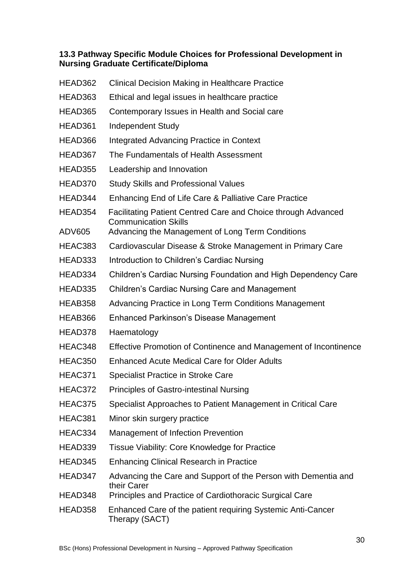## **13.3 Pathway Specific Module Choices for Professional Development in Nursing Graduate Certificate/Diploma**

| HEAD362       | <b>Clinical Decision Making in Healthcare Practice</b>                                       |
|---------------|----------------------------------------------------------------------------------------------|
| HEAD363       | Ethical and legal issues in healthcare practice                                              |
| HEAD365       | Contemporary Issues in Health and Social care                                                |
| HEAD361       | <b>Independent Study</b>                                                                     |
| HEAD366       | Integrated Advancing Practice in Context                                                     |
| HEAD367       | The Fundamentals of Health Assessment                                                        |
| HEAD355       | Leadership and Innovation                                                                    |
| HEAD370       | <b>Study Skills and Professional Values</b>                                                  |
| HEAD344       | Enhancing End of Life Care & Palliative Care Practice                                        |
| HEAD354       | Facilitating Patient Centred Care and Choice through Advanced<br><b>Communication Skills</b> |
| <b>ADV605</b> | Advancing the Management of Long Term Conditions                                             |
| HEAC383       | Cardiovascular Disease & Stroke Management in Primary Care                                   |
| HEAD333       | Introduction to Children's Cardiac Nursing                                                   |
| HEAD334       | Children's Cardiac Nursing Foundation and High Dependency Care                               |
| HEAD335       | <b>Children's Cardiac Nursing Care and Management</b>                                        |
| HEAB358       | Advancing Practice in Long Term Conditions Management                                        |
| HEAB366       | Enhanced Parkinson's Disease Management                                                      |
| HEAD378       | Haematology                                                                                  |
| HEAC348       | Effective Promotion of Continence and Management of Incontinence                             |
| HEAC350       | <b>Enhanced Acute Medical Care for Older Adults</b>                                          |
| HEAC371       | <b>Specialist Practice in Stroke Care</b>                                                    |
| HEAC372       | Principles of Gastro-intestinal Nursing                                                      |
| HEAC375       | Specialist Approaches to Patient Management in Critical Care                                 |
| HEAC381       | Minor skin surgery practice                                                                  |
| HEAC334       | Management of Infection Prevention                                                           |
| HEAD339       | Tissue Viability: Core Knowledge for Practice                                                |
| HEAD345       | <b>Enhancing Clinical Research in Practice</b>                                               |
| HEAD347       | Advancing the Care and Support of the Person with Dementia and<br>their Carer                |
| HEAD348       | Principles and Practice of Cardiothoracic Surgical Care                                      |
| HEAD358       | Enhanced Care of the patient requiring Systemic Anti-Cancer<br>Therapy (SACT)                |